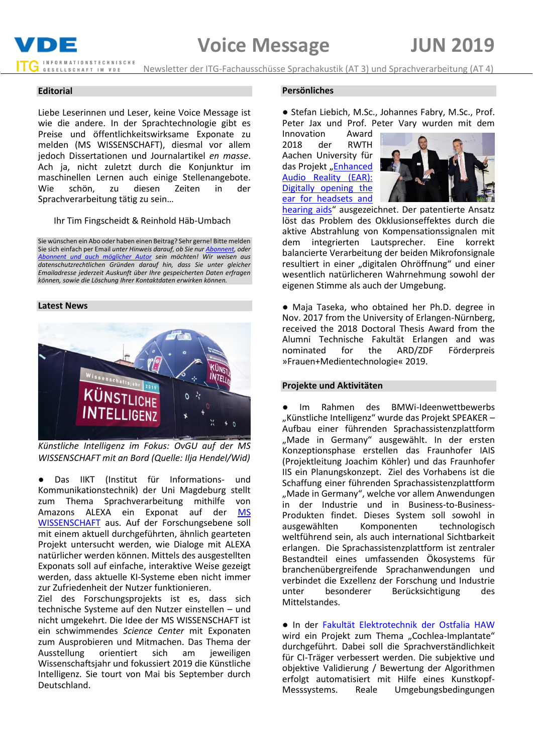

Newsletter der ITG-Fachausschüsse Sprachakustik (AT 3) und Sprachverarbeitung (AT 4)

#### **Editorial**

Liebe Leserinnen und Leser, keine Voice Message ist wie die andere. In der Sprachtechnologie gibt es Preise und öffentlichkeitswirksame Exponate zu melden (MS WISSENSCHAFT), diesmal vor allem jedoch Dissertationen und Journalartikel *en masse*. Ach ja, nicht zuletzt durch die Konjunktur im maschinellen Lernen auch einige Stellenangebote. Wie schön, zu diesen Zeiten in der Sprachverarbeitung tätig zu sein…

#### Ihr Tim Fingscheidt & Reinhold Häb-Umbach

Sie wünschen ein Abo oder haben einen Beitrag? Sehr gerne! Bitte melden Sie sich einfach per Email *unter Hinweis darauf, ob Sie nu[r Abonnent,](mailto:t.fingscheidt@tu-bs.de?subject=Abo%20Voice%20Message%20(kein%20Beitrag)) oder [Abonnent und auch möglicher Autor](mailto:t.fingscheidt@tu-bs.de?subject=Abo%20und%20Beitrag%20Voice%20Message) sein möchten! Wir weisen aus datenschutzrechtlichen Gründen darauf hin, dass Sie unter gleicher Emailadresse jederzeit Auskunft über Ihre gespeicherten Daten erfragen können, sowie die Löschung Ihrer Kontaktdaten erwirken können.*

#### **Latest News**



*Künstliche Intelligenz im Fokus: OvGU auf der MS WISSENSCHAFT mit an Bord (Quelle: Ilja Hendel/Wid)*

● Das IIKT (Institut für Informations- und Kommunikationstechnik) der Uni Magdeburg stellt zum Thema Sprachverarbeitung mithilfe von Amazons ALEXA ein Exponat auf der [MS](https://ms-wissenschaft.de/)  [WISSENSCHAFT](https://ms-wissenschaft.de/) aus. Auf der Forschungsebene soll mit einem aktuell durchgeführten, ähnlich gearteten Projekt untersucht werden, wie Dialoge mit ALEXA natürlicher werden können. Mittels des ausgestellten Exponats soll auf einfache, interaktive Weise gezeigt werden, dass aktuelle KI-Systeme eben nicht immer zur Zufriedenheit der Nutzer funktionieren.

Ziel des Forschungsprojekts ist es, dass sich technische Systeme auf den Nutzer einstellen – und nicht umgekehrt. Die Idee der MS WISSENSCHAFT ist ein schwimmendes *Science Center* mit Exponaten zum Ausprobieren und Mitmachen. Das Thema der Ausstellung orientiert sich am jeweiligen Wissenschaftsjahr und fokussiert 2019 die Künstliche Intelligenz. Sie tourt von Mai bis September durch Deutschland.

#### **Persönliches**

● Stefan Liebich, M.Sc., Johannes Fabry, M.Sc., Prof. Peter Jax und Prof. Peter Vary wurden mit dem

Innovation Award<br>2018 der RWTH 2018 der RWTH Aachen University für das Projekt "Enhanced [Audio Reality \(EAR\):](https://www.iks.rwth-aachen.de/startseite/top-news-artikel/rwth-innovation-award/)  [Digitally opening the](https://www.iks.rwth-aachen.de/startseite/top-news-artikel/rwth-innovation-award/)  [ear for headsets and](https://www.iks.rwth-aachen.de/startseite/top-news-artikel/rwth-innovation-award/) 



[hearing aids](https://www.iks.rwth-aachen.de/startseite/top-news-artikel/rwth-innovation-award/)" ausgezeichnet. Der patentierte Ansatz löst das Problem des Okklusionseffektes durch die aktive Abstrahlung von Kompensationssignalen mit<br>dem integrierten Lautsprecher. Eine korrekt dem integrierten Lautsprecher. balancierte Verarbeitung der beiden Mikrofonsignale resultiert in einer "digitalen Ohröffnung" und einer wesentlich natürlicheren Wahrnehmung sowohl der eigenen Stimme als auch der Umgebung.

● Maja Taseka, who obtained her Ph.D. degree in Nov. 2017 from the University of Erlangen-Nürnberg, received the 2018 Doctoral Thesis Award from the Alumni Technische Fakultät Erlangen and was nominated for the ARD/ZDF Förderpreis »Frauen+Medientechnologie« 2019.

#### **Projekte und Aktivitäten**

Im Rahmen des BMWi-Ideenwettbewerbs "Künstliche Intelligenz" wurde das Projekt SPEAKER -Aufbau einer führenden Sprachassistenzplattform "Made in Germany" ausgewählt. In der ersten Konzeptionsphase erstellen das Fraunhofer IAIS (Projektleitung Joachim Köhler) und das Fraunhofer IIS ein Planungskonzept. Ziel des Vorhabens ist die Schaffung einer führenden Sprachassistenzplattform "Made in Germany", welche vor allem Anwendungen in der Industrie und in Business-to-Business-Produkten findet. Dieses System soll sowohl in ausgewählten Komponenten technologisch weltführend sein, als auch international Sichtbarkeit erlangen. Die Sprachassistenzplattform ist zentraler Bestandteil eines umfassenden Ökosystems für branchenübergreifende Sprachanwendungen und verbindet die Exzellenz der Forschung und Industrie unter besonderer Berücksichtigung des Mittelstandes.

● In der [Fakultät Elektrotechnik der Ostfalia HAW](https://www.ostfalia.de/cms/de/pws/lajmi/Forschung/CI/) wird ein Projekt zum Thema "Cochlea-Implantate" durchgeführt. Dabei soll die Sprachverständlichkeit für CI-Träger verbessert werden. Die subjektive und objektive Validierung / Bewertung der Algorithmen erfolgt automatisiert mit Hilfe eines Kunstkopf-Messsystems. Reale Umgebungsbedingungen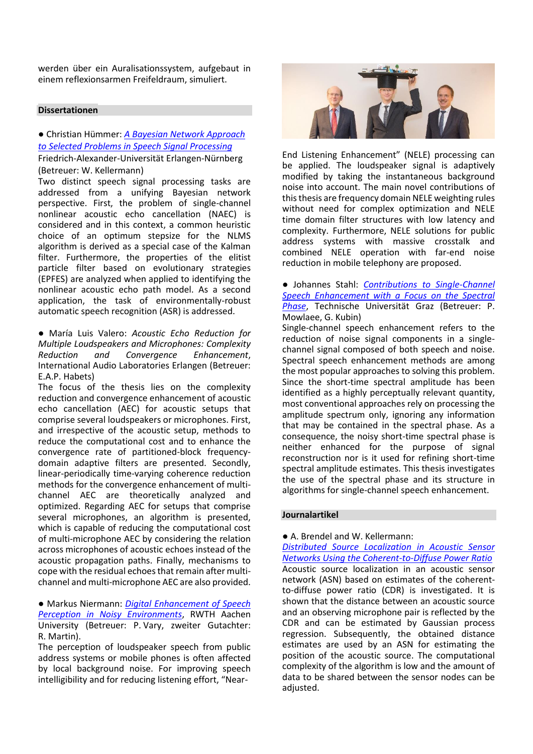werden über ein Auralisationssystem, aufgebaut in einem reflexionsarmen Freifeldraum, simuliert.

## **Dissertationen**

# ● Christian Hümmer: *[A Bayesian Network Approach](https://opus4.kobv.de/opus4-fau/frontdoor/index/index/docId/10537)  [to Selected Problems in Speech Signal Processing](https://opus4.kobv.de/opus4-fau/frontdoor/index/index/docId/10537)*

## Friedrich-Alexander-Universität Erlangen-Nürnberg (Betreuer: W. Kellermann)

Two distinct speech signal processing tasks are addressed from a unifying Bayesian network perspective. First, the problem of single-channel nonlinear acoustic echo cancellation (NAEC) is considered and in this context, a common heuristic choice of an optimum stepsize for the NLMS algorithm is derived as a special case of the Kalman filter. Furthermore, the properties of the elitist particle filter based on evolutionary strategies (EPFES) are analyzed when applied to identifying the nonlinear acoustic echo path model. As a second application, the task of environmentally-robust automatic speech recognition (ASR) is addressed.

● María Luis Valero: *Acoustic Echo Reduction for Multiple Loudspeakers and Microphones: Complexity Reduction and Convergence Enhancement*, International Audio Laboratories Erlangen (Betreuer: E.A.P. Habets)

The focus of the thesis lies on the complexity reduction and convergence enhancement of acoustic echo cancellation (AEC) for acoustic setups that comprise several loudspeakers or microphones. First, and irrespective of the acoustic setup, methods to reduce the computational cost and to enhance the convergence rate of partitioned-block frequencydomain adaptive filters are presented. Secondly, linear-periodically time-varying coherence reduction methods for the convergence enhancement of multichannel AEC are theoretically analyzed and optimized. Regarding AEC for setups that comprise several microphones, an algorithm is presented, which is capable of reducing the computational cost of multi-microphone AEC by considering the relation across microphones of acoustic echoes instead of the acoustic propagation paths. Finally, mechanisms to cope with the residual echoes that remain after multichannel and multi-microphone AEC are also provided.

● Markus Niermann: *[Digital Enhancement of Speech](https://www.iks.rwth-aachen.de/institut/ueber-uns/mitarbeiter/markus-niermann/)  [Perception in Noisy Environments](https://www.iks.rwth-aachen.de/institut/ueber-uns/mitarbeiter/markus-niermann/)*, RWTH Aachen University (Betreuer: P. Vary, zweiter Gutachter: R. Martin).

The perception of loudspeaker speech from public address systems or mobile phones is often affected by local background noise. For improving speech intelligibility and for reducing listening effort, "Near-



End Listening Enhancement" (NELE) processing can be applied. The loudspeaker signal is adaptively modified by taking the instantaneous background noise into account. The main novel contributions of this thesis are frequency domain NELE weighting rules without need for complex optimization and NELE time domain filter structures with low latency and complexity. Furthermore, NELE solutions for public address systems with massive crosstalk and combined NELE operation with far-end noise reduction in mobile telephony are proposed.

● Johannes Stahl: *[Contributions to Single-Channel](https://theses.eurasip.org/theses/804/contributions-to-single-channel-speech/)  [Speech Enhancement with a Focus on the Spectral](https://theses.eurasip.org/theses/804/contributions-to-single-channel-speech/)  [Phase](https://theses.eurasip.org/theses/804/contributions-to-single-channel-speech/)*, Technische Universität Graz (Betreuer: P. Mowlaee, G. Kubin)

Single-channel speech enhancement refers to the reduction of noise signal components in a singlechannel signal composed of both speech and noise. Spectral speech enhancement methods are among the most popular approaches to solving this problem. Since the short-time spectral amplitude has been identified as a highly perceptually relevant quantity, most conventional approaches rely on processing the amplitude spectrum only, ignoring any information that may be contained in the spectral phase. As a consequence, the noisy short-time spectral phase is neither enhanced for the purpose of signal reconstruction nor is it used for refining short-time spectral amplitude estimates. This thesis investigates the use of the spectral phase and its structure in algorithms for single-channel speech enhancement.

#### **Journalartikel**

# ● A. Brendel and W. Kellermann:

*[Distributed Source Localization in Acoustic Sensor](https://ieeexplore.ieee.org/document/8649567)  [Networks Using the Coherent-to-Diffuse Power Ratio](https://ieeexplore.ieee.org/document/8649567)* Acoustic source localization in an acoustic sensor network (ASN) based on estimates of the coherentto-diffuse power ratio (CDR) is investigated. It is shown that the distance between an acoustic source and an observing microphone pair is reflected by the CDR and can be estimated by Gaussian process regression. Subsequently, the obtained distance estimates are used by an ASN for estimating the position of the acoustic source. The computational complexity of the algorithm is low and the amount of data to be shared between the sensor nodes can be adiusted.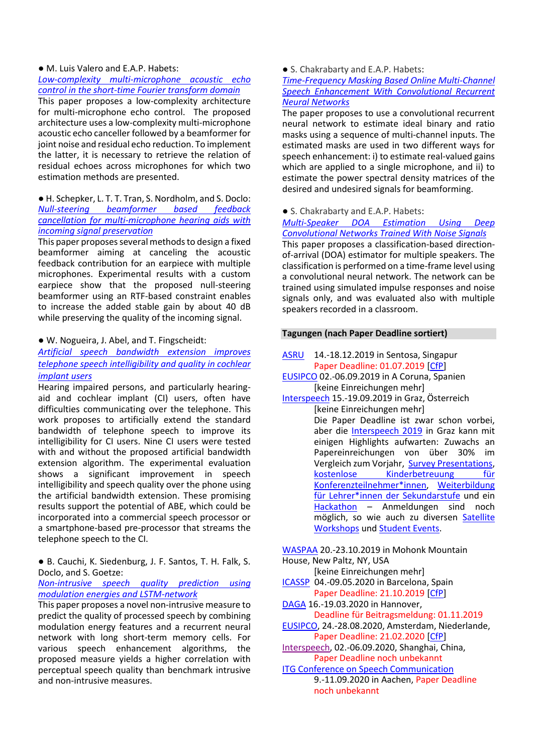## ● M. Luis Valero and E.A.P. Habets:

#### *[Low-complexity multi-microphone acoustic echo](https://ieeexplore.ieee.org/document/8571274/)  [control in the short-time Fourier transform domain](https://ieeexplore.ieee.org/document/8571274/)*

This paper proposes a low-complexity architecture for multi-microphone echo control. The proposed architecture uses a low-complexity multi-microphone acoustic echo canceller followed by a beamformer for joint noise and residual echo reduction. To implement the latter, it is necessary to retrieve the relation of residual echoes across microphones for which two estimation methods are presented.

## ● H. Schepker, L. T. T. Tran, S. Nordholm, and S. Doclo: *[Null-steering beamformer based feedback](https://ieeexplore.ieee.org/document/8606978)  [cancellation for multi-microphone hearing aids with](https://ieeexplore.ieee.org/document/8606978)  [incoming signal preservation](https://ieeexplore.ieee.org/document/8606978)*

This paper proposes several methods to design a fixed beamformer aiming at canceling the acoustic feedback contribution for an earpiece with multiple microphones. Experimental results with a custom earpiece show that the proposed null-steering beamformer using an RTF-based constraint enables to increase the added stable gain by about 40 dB while preserving the quality of the incoming signal.

### ● W. Nogueira, J. Abel, and T. Fingscheidt:

# *[Artificial speech bandwidth extension improves](https://doi.org/10.1121/1.5094347)  [telephone speech intelligibility and quality in cochlear](https://doi.org/10.1121/1.5094347)  [implant users](https://doi.org/10.1121/1.5094347)*

Hearing impaired persons, and particularly hearingaid and cochlear implant (CI) users, often have difficulties communicating over the telephone. This work proposes to artificially extend the standard bandwidth of telephone speech to improve its intelligibility for CI users. Nine CI users were tested with and without the proposed artificial bandwidth extension algorithm. The experimental evaluation shows a significant improvement in speech intelligibility and speech quality over the phone using the artificial bandwidth extension. These promising results support the potential of ABE, which could be incorporated into a commercial speech processor or a smartphone-based pre-processor that streams the telephone speech to the CI.

● B. Cauchi, K. Siedenburg, J. F. Santos, T. H. Falk, S. Doclo, and S. Goetze:

## *[Non-intrusive speech quality prediction using](https://ieeexplore.ieee.org/document/8693793)  [modulation energies and LSTM-network](https://ieeexplore.ieee.org/document/8693793)*

This paper proposes a novel non-intrusive measure to predict the quality of processed speech by combining modulation energy features and a recurrent neural network with long short-term memory cells. For various speech enhancement algorithms, the proposed measure yields a higher correlation with perceptual speech quality than benchmark intrusive and non-intrusive measures.

#### ● S. Chakrabarty and E.A.P. Habets:

*[Time-Frequency Masking Based Online Multi-Channel](https://ieeexplore.ieee.org/document/8691791)  [Speech Enhancement With Convolutional Recurrent](https://ieeexplore.ieee.org/document/8691791)  [Neural Networks](https://ieeexplore.ieee.org/document/8691791)*

The paper proposes to use a convolutional recurrent neural network to estimate ideal binary and ratio masks using a sequence of multi-channel inputs. The estimated masks are used in two different ways for speech enhancement: i) to estimate real-valued gains which are applied to a single microphone, and ii) to estimate the power spectral density matrices of the desired and undesired signals for beamforming.

● S. Chakrabarty and E.A.P. Habets:

#### *[Multi-Speaker DOA Estimation Using Deep](https://ieeexplore.ieee.org/document/8651493)  [Convolutional Networks Trained With Noise Signals](https://ieeexplore.ieee.org/document/8651493)*

This paper proposes a classification-based directionof-arrival (DOA) estimator for multiple speakers. The classification is performed on a time-frame level using a convolutional neural network. The network can be trained using simulated impulse responses and noise signals only, and was evaluated also with multiple speakers recorded in a classroom.

### **Tagungen (nach Paper Deadline sortiert)**

## [ASRU](http://asru2019.org/) 14.-18.12.2019 in Sentosa, Singapur Paper Deadline: 01.07.2019 [\[CfP\]](http://asru2019.org/)

[EUSIPCO](http://eusipco2019.org/) 02.-06.09.2019 in A Coruna, Spanien [keine Einreichungen mehr]

[Interspeech](http://www.interspeech2019.org/) 15.-19.09.2019 in Graz, Österreich [keine Einreichungen mehr]

Die Paper Deadline ist zwar schon vorbei, aber die [Interspeech 2019](http://www.interspeech2019.org/) in Graz kann mit einigen Highlights aufwarten: Zuwachs an Papereinreichungen von über 30% im Vergleich zum Vorjahr, [Survey Presentations,](https://www.interspeech2019.org/calls/surveys/) kostenlose Kinderbetreuung für [Konferenzteilnehmer\\*innen,](https://www.interspeech2019.org/venue_and_travel/childcare/) [Weiterbildung](https://www.ph-online.ac.at/phst/wbLv.wbShowLVDetail?pStpSpNr=308674&pSpracheNr=1)  [für Lehrer\\*innen der Sekundarstufe](https://www.ph-online.ac.at/phst/wbLv.wbShowLVDetail?pStpSpNr=308674&pSpracheNr=1) und ein [Hackathon](mailto:hackathon@interspeech2019.org) – Anmeldungen sind noch möglich, so wie auch zu diversen [Satellite](https://www.interspeech2019.org/program/satellite_events/)  [Workshops](https://www.interspeech2019.org/program/satellite_events/) un[d Student Events.](https://www.interspeech2019.org/students/student_events/)

#### [WASPAA](https://www.waspaa.com/) 20.-23.10.2019 in Mohonk Mountain House, New Paltz, NY, USA

[keine Einreichungen mehr]

- [ICASSP](https://2020.ieeeicassp.org/) 04.-09.05.2020 in Barcelona, Spain Paper Deadline: 21.10.2019 [\[CfP\]](https://2020.ieeeicassp.org/wp-content/uploads/2019/05/ICASSP2020_CfP_7.pdf)
- [DAGA](http://www.daga2020.de/) 16.-19.03.2020 in Hannover,

# Deadline für Beitragsmeldung: 01.11.2019

- [EUSIPCO,](https://eusipco2020.org/) 24.-28.08.2020, Amsterdam, Niederlande, Paper Deadline: 21.02.2020 [\[CfP\]](https://eusipco2020.org/calls/)
- [Interspeech,](http://www.interspeech2020.org/) 02.-06.09.2020, Shanghai, China, Paper Deadline noch unbekannt

[ITG Conference on Speech Communication](https://www.iks.rwth-aachen.de/institut/veranstaltungen/itg-conference-on-speech-communication-2020/) 9.-11.09.2020 in Aachen, Paper Deadline noch unbekannt